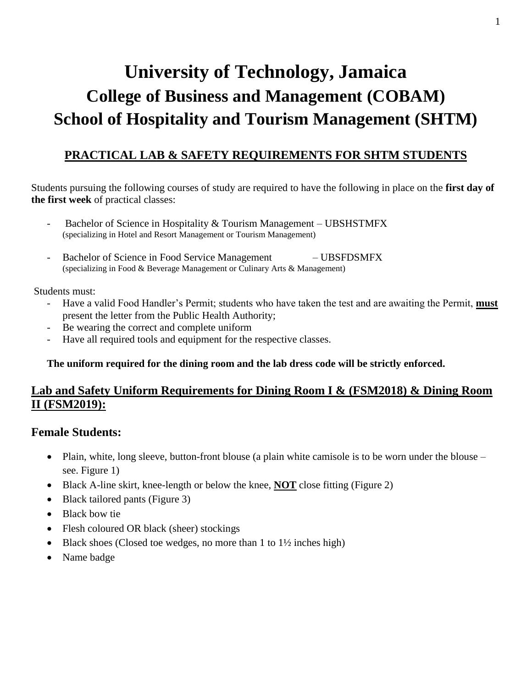# **University of Technology, Jamaica College of Business and Management (COBAM) School of Hospitality and Tourism Management (SHTM)**

# **PRACTICAL LAB & SAFETY REQUIREMENTS FOR SHTM STUDENTS**

Students pursuing the following courses of study are required to have the following in place on the **first day of the first week** of practical classes:

- Bachelor of Science in Hospitality & Tourism Management UBSHSTMFX (specializing in Hotel and Resort Management or Tourism Management)
- Bachelor of Science in Food Service Management UBSFDSMFX (specializing in Food & Beverage Management or Culinary Arts & Management)

#### Students must:

- Have a valid Food Handler's Permit; students who have taken the test and are awaiting the Permit, **must** present the letter from the Public Health Authority;
- Be wearing the correct and complete uniform
- Have all required tools and equipment for the respective classes.

## **The uniform required for the dining room and the lab dress code will be strictly enforced.**

# **Lab and Safety Uniform Requirements for Dining Room I & (FSM2018) & Dining Room II (FSM2019):**

# **Female Students:**

- Plain, white, long sleeve, button-front blouse (a plain white camisole is to be worn under the blouse see. Figure 1)
- Black A-line skirt, knee-length or below the knee, **NOT** close fitting (Figure 2)
- Black tailored pants (Figure 3)
- Black bow tie
- Flesh coloured OR black (sheer) stockings
- $\bullet$  Black shoes (Closed toe wedges, no more than 1 to 1½ inches high)
- Name badge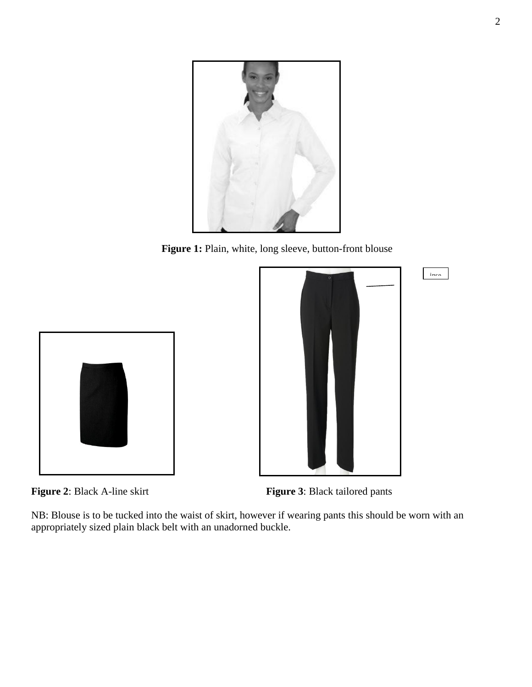

**Figure 1:** Plain, white, long sleeve, button-front blouse







NB: Blouse is to be tucked into the waist of skirt, however if wearing pants this should be worn with an appropriately sized plain black belt with an unadorned buckle.

ince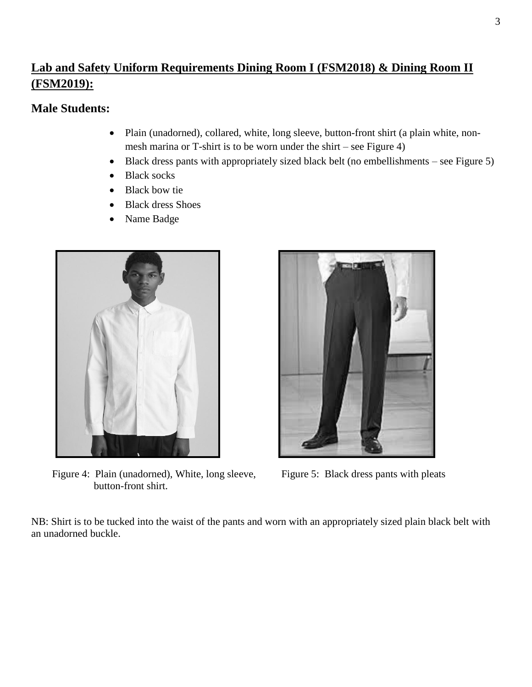# **Lab and Safety Uniform Requirements Dining Room I (FSM2018) & Dining Room II (FSM2019):**

# **Male Students:**

- Plain (unadorned), collared, white, long sleeve, button-front shirt (a plain white, nonmesh marina or T-shirt is to be worn under the shirt – see Figure 4)
- Black dress pants with appropriately sized black belt (no embellishments see Figure 5)
- Black socks
- Black bow tie
- Black dress Shoes
- Name Badge



Figure 4: Plain (unadorned), White, long sleeve, Figure 5: Black dress pants with pleats button-front shirt.



NB: Shirt is to be tucked into the waist of the pants and worn with an appropriately sized plain black belt with an unadorned buckle.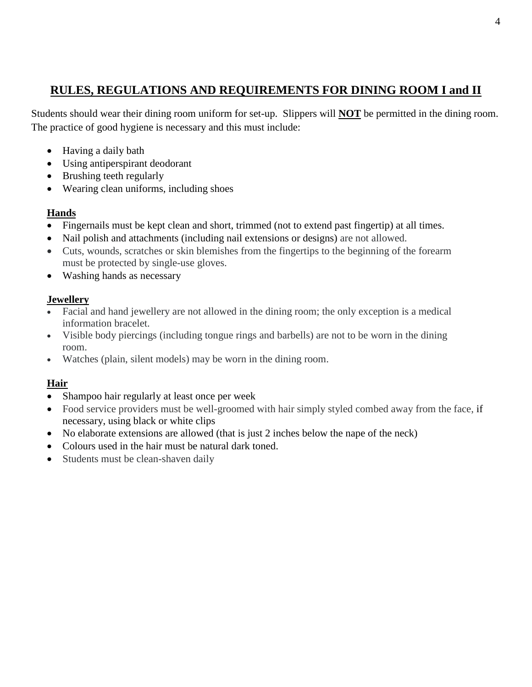# **RULES, REGULATIONS AND REQUIREMENTS FOR DINING ROOM I and II**

Students should wear their dining room uniform for set-up. Slippers will **NOT** be permitted in the dining room. The practice of good hygiene is necessary and this must include:

- Having a daily bath
- Using antiperspirant deodorant
- Brushing teeth regularly
- Wearing clean uniforms, including shoes

# **Hands**

- Fingernails must be kept clean and short, trimmed (not to extend past fingertip) at all times.
- Nail polish and attachments (including nail extensions or designs) are not allowed.
- Cuts, wounds, scratches or skin blemishes from the fingertips to the beginning of the forearm must be protected by single-use gloves.
- Washing hands as necessary

# **Jewellery**

- Facial and hand jewellery are not allowed in the dining room; the only exception is a medical information bracelet.
- Visible body piercings (including tongue rings and barbells) are not to be worn in the dining room.
- Watches (plain, silent models) may be worn in the dining room.

# **Hair**

- Shampoo hair regularly at least once per week
- Food service providers must be well-groomed with hair simply styled combed away from the face, if necessary, using black or white clips
- No elaborate extensions are allowed (that is just 2 inches below the nape of the neck)
- Colours used in the hair must be natural dark toned.
- Students must be clean-shaven daily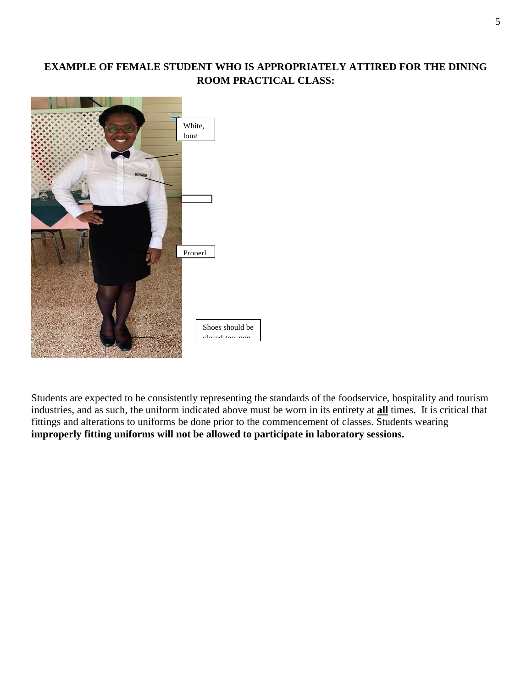# **EXAMPLE OF FEMALE STUDENT WHO IS APPROPRIATELY ATTIRED FOR THE DINING ROOM PRACTICAL CLASS:**



Students are expected to be consistently representing the standards of the foodservice, hospitality and tourism industries, and as such, the uniform indicated above must be worn in its entirety at **all** times. It is critical that fittings and alterations to uniforms be done prior to the commencement of classes. Students wearing **improperly fitting uniforms will not be allowed to participate in laboratory sessions.** epr: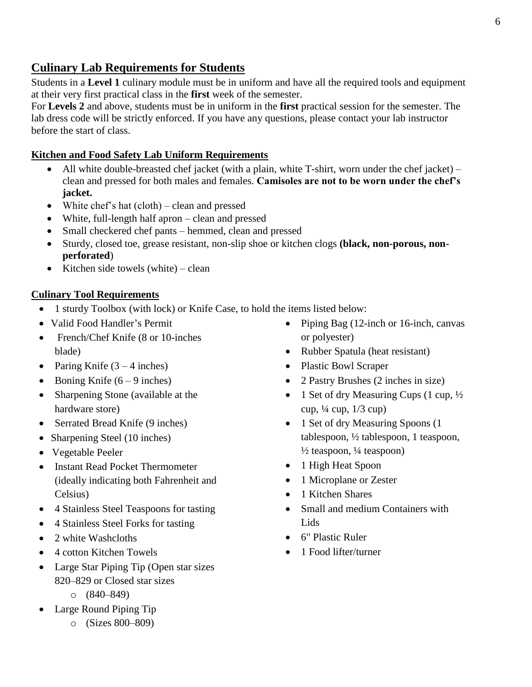# **Culinary Lab Requirements for Students**

Students in a **Level 1** culinary module must be in uniform and have all the required tools and equipment at their very first practical class in the **first** week of the semester.

For **Levels 2** and above, students must be in uniform in the **first** practical session for the semester. The lab dress code will be strictly enforced. If you have any questions, please contact your lab instructor before the start of class.

# **Kitchen and Food Safety Lab Uniform Requirements**

- All white double-breasted chef jacket (with a plain, white T-shirt, worn under the chef jacket) clean and pressed for both males and females. **Camisoles are not to be worn under the chef's jacket.**
- White chef's hat  $(cloth) clean$  and pressed
- White, full-length half apron clean and pressed
- Small checkered chef pants hemmed, clean and pressed
- Sturdy, closed toe, grease resistant, non-slip shoe or kitchen clogs **(black, non-porous, nonperforated**)
- Kitchen side towels (white) clean

#### **Culinary Tool Requirements**

- 1 sturdy Toolbox (with lock) or Knife Case, to hold the items listed below:
- Valid Food Handler's Permit
- French/Chef Knife (8 or 10-inches blade)
- Paring Knife  $(3 4$  inches)
- Boning Knife  $(6 9$  inches)
- Sharpening Stone (available at the hardware store)
- Serrated Bread Knife (9 inches)
- Sharpening Steel (10 inches)
- Vegetable Peeler
- Instant Read Pocket Thermometer (ideally indicating both Fahrenheit and Celsius)
- 4 Stainless Steel Teaspoons for tasting
- 4 Stainless Steel Forks for tasting
- 2 white Washcloths
- 4 cotton Kitchen Towels
- Large Star Piping Tip (Open star sizes 820–829 or Closed star sizes
	- o (840–849)
- Large Round Piping Tip
	- o (Sizes 800–809)
- Piping Bag (12-inch or 16-inch, canvas or polyester)
- Rubber Spatula (heat resistant)
- Plastic Bowl Scraper
- 2 Pastry Brushes (2 inches in size)
- 1 Set of dry Measuring Cups (1 cup,  $\frac{1}{2}$ ) cup, ¼ cup, 1/3 cup)
- 1 Set of dry Measuring Spoons (1) tablespoon, ½ tablespoon, 1 teaspoon,  $\frac{1}{2}$  teaspoon,  $\frac{1}{4}$  teaspoon)
- 1 High Heat Spoon
- 1 Microplane or Zester
- 1 Kitchen Shares
- Small and medium Containers with Lids
- 6" Plastic Ruler
- 1 Food lifter/turner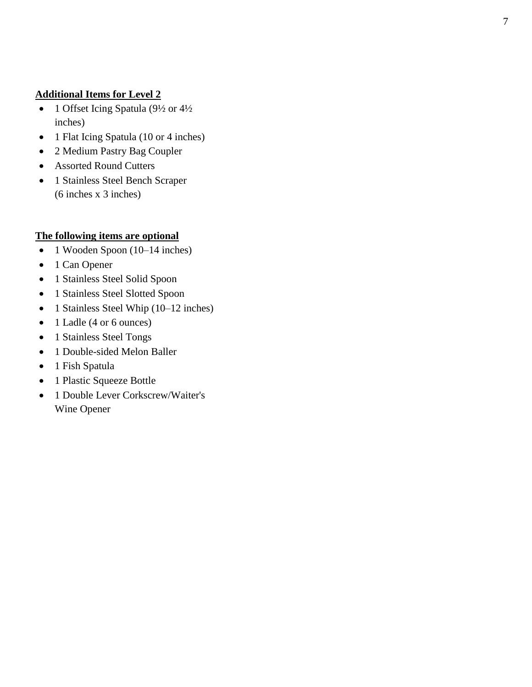## **Additional Items for Level 2**

- 1 Offset Icing Spatula (9½ or 4½ inches)
- 1 Flat Icing Spatula (10 or 4 inches)
- 2 Medium Pastry Bag Coupler
- Assorted Round Cutters
- 1 Stainless Steel Bench Scraper (6 inches x 3 inches)

# **The following items are optional**

- 1 Wooden Spoon (10–14 inches)
- 1 Can Opener
- 1 Stainless Steel Solid Spoon
- 1 Stainless Steel Slotted Spoon
- 1 Stainless Steel Whip (10–12 inches)
- 1 Ladle (4 or 6 ounces)
- 1 Stainless Steel Tongs
- 1 Double-sided Melon Baller
- 1 Fish Spatula
- 1 Plastic Squeeze Bottle
- 1 Double Lever Corkscrew/Waiter's Wine Opener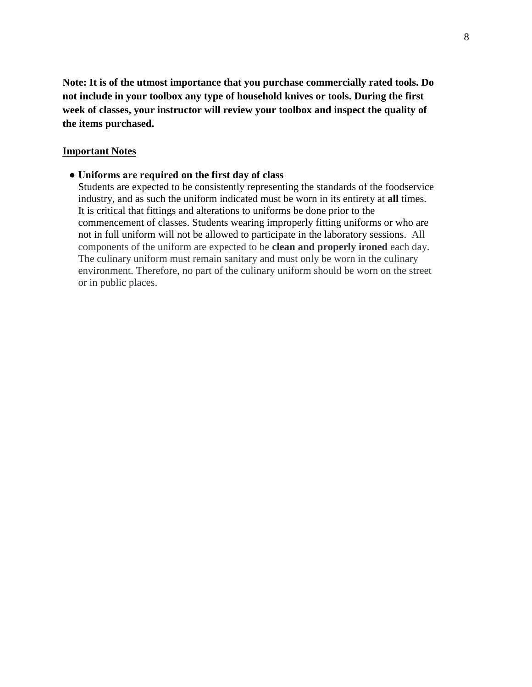**Note: It is of the utmost importance that you purchase commercially rated tools. Do not include in your toolbox any type of household knives or tools. During the first week of classes, your instructor will review your toolbox and inspect the quality of the items purchased.**

#### **Important Notes**

#### **● Uniforms are required on the first day of class**

Students are expected to be consistently representing the standards of the foodservice industry, and as such the uniform indicated must be worn in its entirety at **all** times. It is critical that fittings and alterations to uniforms be done prior to the commencement of classes. Students wearing improperly fitting uniforms or who are not in full uniform will not be allowed to participate in the laboratory sessions. All components of the uniform are expected to be **clean and properly ironed** each day. The culinary uniform must remain sanitary and must only be worn in the culinary environment. Therefore, no part of the culinary uniform should be worn on the street or in public places.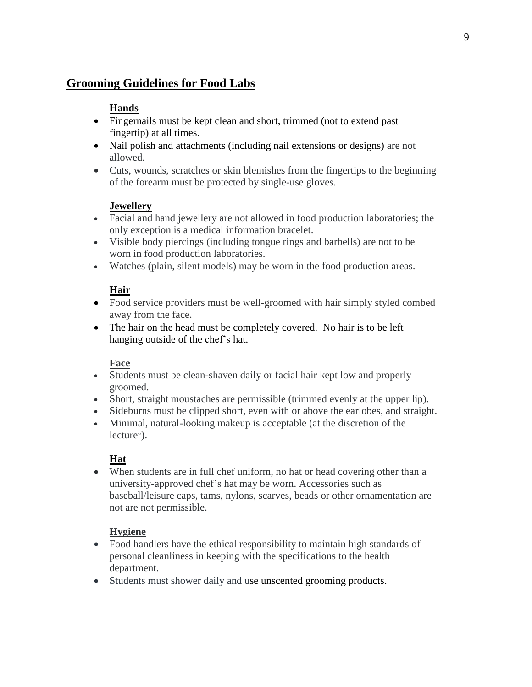# **Grooming Guidelines for Food Labs**

# **Hands**

- Fingernails must be kept clean and short, trimmed (not to extend past) fingertip) at all times.
- Nail polish and attachments (including nail extensions or designs) are not allowed.
- Cuts, wounds, scratches or skin blemishes from the fingertips to the beginning of the forearm must be protected by single-use gloves.

## **Jewellery**

- Facial and hand jewellery are not allowed in food production laboratories; the only exception is a medical information bracelet.
- Visible body piercings (including tongue rings and barbells) are not to be worn in food production laboratories.
- Watches (plain, silent models) may be worn in the food production areas.

## **Hair**

- Food service providers must be well-groomed with hair simply styled combed away from the face.
- The hair on the head must be completely covered. No hair is to be left hanging outside of the chef's hat.

## **Face**

- Students must be clean-shaven daily or facial hair kept low and properly groomed.
- Short, straight moustaches are permissible (trimmed evenly at the upper lip).
- Sideburns must be clipped short, even with or above the earlobes, and straight.
- Minimal, natural-looking makeup is acceptable (at the discretion of the lecturer).

## **Hat**

 When students are in full chef uniform, no hat or head covering other than a university-approved chef's hat may be worn. Accessories such as baseball/leisure caps, tams, nylons, scarves, beads or other ornamentation are not are not permissible.

## **Hygiene**

- Food handlers have the ethical responsibility to maintain high standards of personal cleanliness in keeping with the specifications to the health department.
- Students must shower daily and use unscented grooming products.